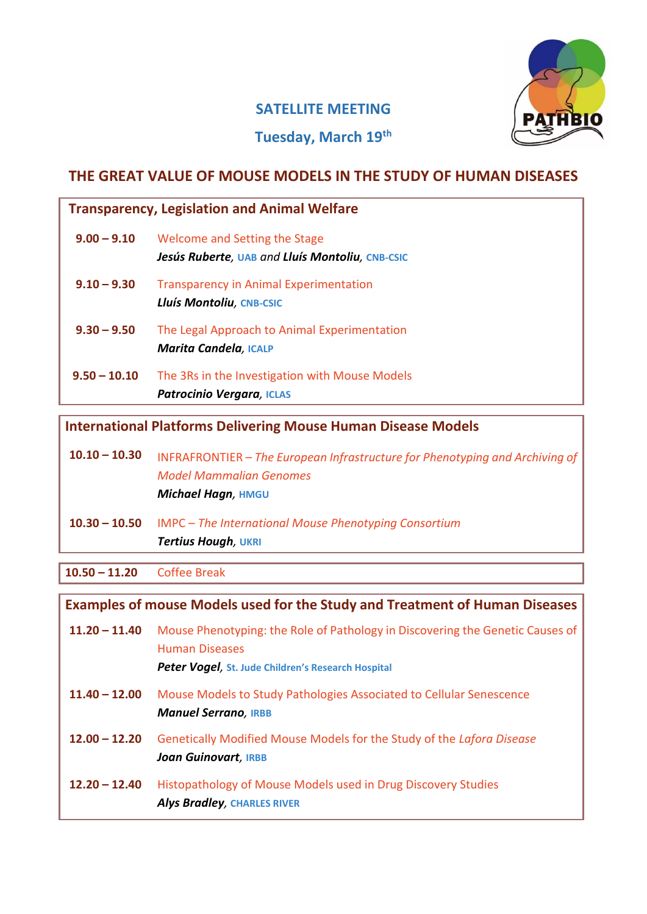

## **SATELLITE MEETING**

# **Tuesday, March 19th**

# **THE GREAT VALUE OF MOUSE MODELS IN THE STUDY OF HUMAN DISEASES**

| $9.00 - 9.10$<br>$9.10 - 9.30$<br>Lluís Montoliu, CNB-CSIC<br>$9.30 - 9.50$ | Welcome and Setting the Stage<br>Jesús Ruberte, UAB and Lluís Montoliu, CNB-CSIC<br><b>Transparency in Animal Experimentation</b> |
|-----------------------------------------------------------------------------|-----------------------------------------------------------------------------------------------------------------------------------|
|                                                                             |                                                                                                                                   |
|                                                                             |                                                                                                                                   |
| <b>Marita Candela, ICALP</b>                                                | The Legal Approach to Animal Experimentation                                                                                      |
| $9.50 - 10.10$<br><b>Patrocinio Vergara, ICLAS</b>                          | The 3Rs in the Investigation with Mouse Models                                                                                    |

**International Platforms Delivering Mouse Human Disease Models**

| $10.10 - 10.30$ | INFRAFRONTIER $-$ The European Infrastructure for Phenotyping and Archiving of |  |  |
|-----------------|--------------------------------------------------------------------------------|--|--|
|                 | <b>Model Mammalian Genomes</b>                                                 |  |  |
|                 | <b>Michael Hagn, HMGU</b>                                                      |  |  |
|                 |                                                                                |  |  |

**10.30 – 10.50** IMPC – *The International Mouse Phenotyping Consortium Tertius Hough,* **UKRI**

**10.50 – 11.20** Coffee Break

**Examples of mouse Models used for the Study and Treatment of Human Diseases 11.20 – 11.40** Mouse Phenotyping: the Role of Pathology in Discovering the Genetic Causes of Human Diseases *Peter Vogel,* **St. Jude Children's Research Hospital 11.40 – 12.00** Mouse Models to Study Pathologies Associated to Cellular Senescence *Manuel Serrano,* **IRBB 12.00 – 12.20** Genetically Modified Mouse Models for the Study of the *Lafora Disease Joan Guinovart,* **IRBB 12.20 – 12.40** Histopathology of Mouse Models used in Drug Discovery Studies *Alys Bradley,* **CHARLES RIVER**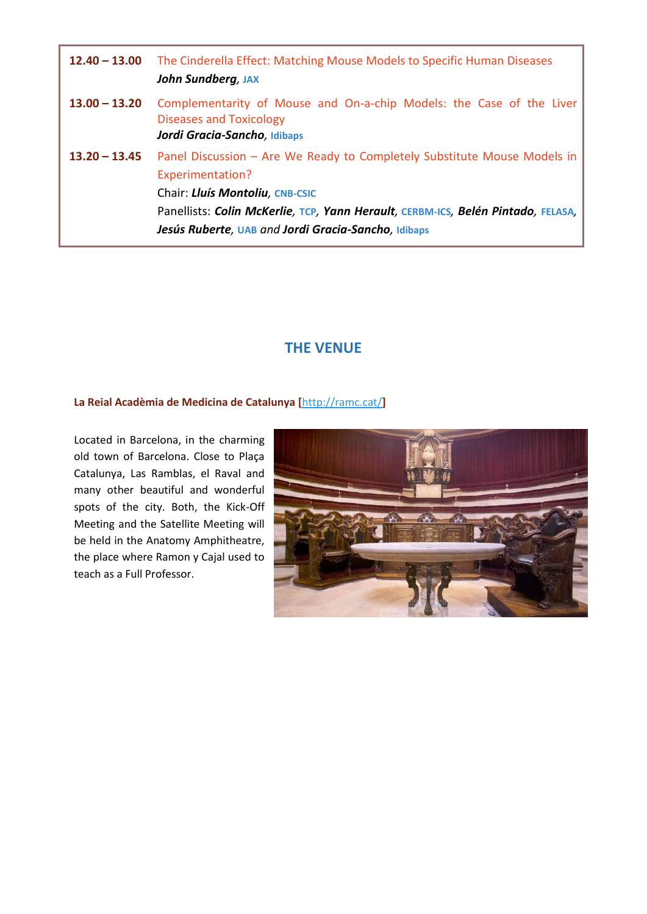| $12.40 - 13.00$ | The Cinderella Effect: Matching Mouse Models to Specific Human Diseases<br><b>John Sundberg, JAX</b>                                                                                                                                                                       |
|-----------------|----------------------------------------------------------------------------------------------------------------------------------------------------------------------------------------------------------------------------------------------------------------------------|
| $13.00 - 13.20$ | Complementarity of Mouse and On-a-chip Models: the Case of the Liver<br><b>Diseases and Toxicology</b><br>Jordi Gracia-Sancho, Idibaps                                                                                                                                     |
| $13.20 - 13.45$ | Panel Discussion - Are We Ready to Completely Substitute Mouse Models in<br>Experimentation?<br>Chair: Lluís Montoliu, CNB-CSIC<br>Panellists: Colin McKerlie, TCP, Yann Herault, CERBM-ICS, Belén Pintado, FELASA,<br>Jesús Ruberte, UAB and Jordi Gracia-Sancho, Idibaps |

### **THE VENUE**

#### **La Reial Acadèmia de Medicina de Catalunya [**<http://ramc.cat/>**]**

Located in Barcelona, in the charming old town of Barcelona. Close to Plaça Catalunya, Las Ramblas, el Raval and many other beautiful and wonderful spots of the city. Both, the Kick-Off Meeting and the Satellite Meeting will be held in the Anatomy Amphitheatre, the place where Ramon y Cajal used to teach as a Full Professor.

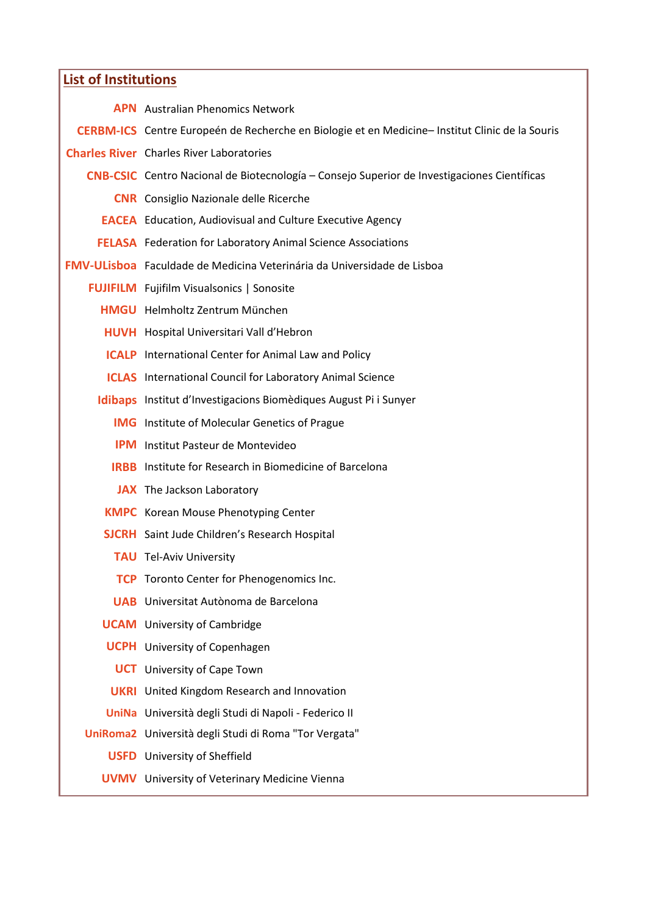| <b>List of Institutions</b> |                                                                                                |  |  |
|-----------------------------|------------------------------------------------------------------------------------------------|--|--|
|                             | <b>APN</b> Australian Phenomics Network                                                        |  |  |
|                             | CERBM-ICS Centre Europeén de Recherche en Biologie et en Medicine-Institut Clinic de la Souris |  |  |
|                             | <b>Charles River</b> Charles River Laboratories                                                |  |  |
|                             | CNB-CSIC Centro Nacional de Biotecnología – Consejo Superior de Investigaciones Científicas    |  |  |
|                             | <b>CNR</b> Consiglio Nazionale delle Ricerche                                                  |  |  |
|                             | <b>EACEA</b> Education, Audiovisual and Culture Executive Agency                               |  |  |
|                             | <b>FELASA</b> Federation for Laboratory Animal Science Associations                            |  |  |
|                             | <b>FMV-ULisboa</b> Faculdade de Medicina Veterinária da Universidade de Lisboa                 |  |  |
|                             | <b>FUJIFILM</b> Fujifilm Visualsonics   Sonosite                                               |  |  |
|                             | <b>HMGU</b> Helmholtz Zentrum München                                                          |  |  |
|                             | <b>HUVH</b> Hospital Universitari Vall d'Hebron                                                |  |  |
|                             | <b>ICALP</b> International Center for Animal Law and Policy                                    |  |  |
|                             | <b>ICLAS</b> International Council for Laboratory Animal Science                               |  |  |
|                             | Idibaps Institut d'Investigacions Biomèdiques August Pi i Sunyer                               |  |  |
|                             | <b>IMG</b> Institute of Molecular Genetics of Prague                                           |  |  |
|                             | <b>IPM</b> Institut Pasteur de Montevideo                                                      |  |  |
|                             | <b>IRBB</b> Institute for Research in Biomedicine of Barcelona                                 |  |  |
|                             | <b>JAX</b> The Jackson Laboratory                                                              |  |  |
|                             | <b>KMPC</b> Korean Mouse Phenotyping Center                                                    |  |  |
|                             | <b>SJCRH</b> Saint Jude Children's Research Hospital                                           |  |  |
|                             | <b>TAU</b> Tel-Aviv University                                                                 |  |  |
|                             | <b>TCP</b> Toronto Center for Phenogenomics Inc.                                               |  |  |
|                             | <b>UAB</b> Universitat Autònoma de Barcelona                                                   |  |  |
|                             | <b>UCAM</b> University of Cambridge                                                            |  |  |
|                             | <b>UCPH</b> University of Copenhagen                                                           |  |  |
|                             | <b>UCT</b> University of Cape Town                                                             |  |  |
|                             | <b>UKRI</b> United Kingdom Research and Innovation                                             |  |  |
|                             | UniNa Università degli Studi di Napoli - Federico II                                           |  |  |
|                             | UniRoma2 Università degli Studi di Roma "Tor Vergata"                                          |  |  |
|                             | <b>USFD</b> University of Sheffield                                                            |  |  |
|                             | <b>UVMV</b> University of Veterinary Medicine Vienna                                           |  |  |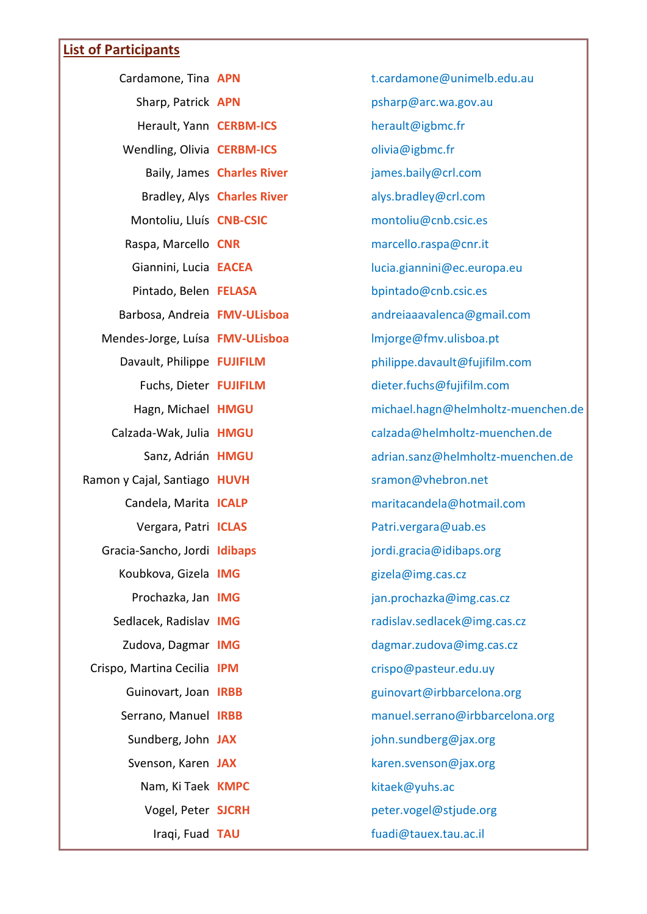# **List of Participants**

| Cardamone, Tina APN             |                             | t.cardamone@unimelb.edu.au         |
|---------------------------------|-----------------------------|------------------------------------|
| Sharp, Patrick APN              |                             | psharp@arc.wa.gov.au               |
| Herault, Yann CERBM-ICS         |                             | herault@igbmc.fr                   |
| Wendling, Olivia CERBM-ICS      |                             | olivia@igbmc.fr                    |
|                                 | Baily, James Charles River  | james.baily@crl.com                |
|                                 | Bradley, Alys Charles River | alys.bradley@crl.com               |
| Montoliu, Lluís CNB-CSIC        |                             | montoliu@cnb.csic.es               |
| Raspa, Marcello CNR             |                             | marcello.raspa@cnr.it              |
| Giannini, Lucia EACEA           |                             | lucia.giannini@ec.europa.eu        |
| Pintado, Belen FELASA           |                             | bpintado@cnb.csic.es               |
| Barbosa, Andreia FMV-ULisboa    |                             | andreiaaavalenca@gmail.com         |
| Mendes-Jorge, Luísa FMV-ULisboa |                             | Imjorge@fmv.ulisboa.pt             |
| Davault, Philippe FUJIFILM      |                             | philippe.davault@fujifilm.com      |
| Fuchs, Dieter FUJIFILM          |                             | dieter.fuchs@fujifilm.com          |
| Hagn, Michael HMGU              |                             | michael.hagn@helmholtz-muenchen.de |
| Calzada-Wak, Julia HMGU         |                             | calzada@helmholtz-muenchen.de      |
| Sanz, Adrián HMGU               |                             | adrian.sanz@helmholtz-muenchen.de  |
| Ramon y Cajal, Santiago HUVH    |                             | sramon@vhebron.net                 |
| Candela, Marita ICALP           |                             | maritacandela@hotmail.com          |
| Vergara, Patri ICLAS            |                             | Patri.vergara@uab.es               |
| Gracia-Sancho, Jordi Idibaps    |                             | jordi.gracia@idibaps.org           |
| Koubkova, Gizela IMG            |                             | gizela@img.cas.cz                  |
| Prochazka, Jan IMG              |                             | jan.prochazka@img.cas.cz           |
| Sedlacek, Radislav IMG          |                             | radislav.sedlacek@img.cas.cz       |
| Zudova, Dagmar IMG              |                             | dagmar.zudova@img.cas.cz           |
| Crispo, Martina Cecilia IPM     |                             | crispo@pasteur.edu.uy              |
| Guinovart, Joan IRBB            |                             | guinovart@irbbarcelona.org         |
| Serrano, Manuel IRBB            |                             | manuel.serrano@irbbarcelona.org    |
| Sundberg, John JAX              |                             | john.sundberg@jax.org              |
| Svenson, Karen JAX              |                             | karen.svenson@jax.org              |
| Nam, Ki Taek KMPC               |                             | kitaek@yuhs.ac                     |
| Vogel, Peter SJCRH              |                             | peter.vogel@stjude.org             |
| Iraqi, Fuad TAU                 |                             | fuadi@tauex.tau.ac.il              |